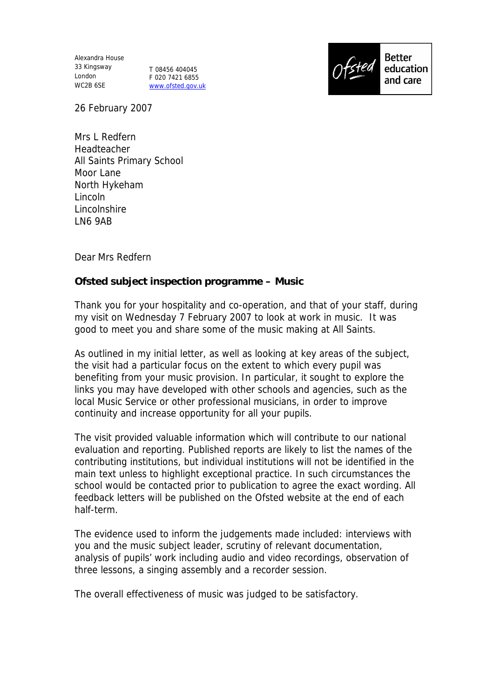Alexandra House 33 Kingsway London WC2B 6SE

T 08456 404045 F 020 7421 6855 www.ofsted.gov.uk



26 February 2007

Mrs L Redfern Headteacher All Saints Primary School Moor Lane North Hykeham Lincoln Lincolnshire LN6 9AB

Dear Mrs Redfern

**Ofsted subject inspection programme – Music**

Thank you for your hospitality and co-operation, and that of your staff, during my visit on Wednesday 7 February 2007 to look at work in music. It was good to meet you and share some of the music making at All Saints.

As outlined in my initial letter, as well as looking at key areas of the subject, the visit had a particular focus on the extent to which every pupil was benefiting from your music provision. In particular, it sought to explore the links you may have developed with other schools and agencies, such as the local Music Service or other professional musicians, in order to improve continuity and increase opportunity for all your pupils.

The visit provided valuable information which will contribute to our national evaluation and reporting. Published reports are likely to list the names of the contributing institutions, but individual institutions will not be identified in the main text unless to highlight exceptional practice. In such circumstances the school would be contacted prior to publication to agree the exact wording. All feedback letters will be published on the Ofsted website at the end of each half-term.

The evidence used to inform the judgements made included: interviews with you and the music subject leader, scrutiny of relevant documentation, analysis of pupils' work including audio and video recordings, observation of three lessons, a singing assembly and a recorder session.

The overall effectiveness of music was judged to be satisfactory.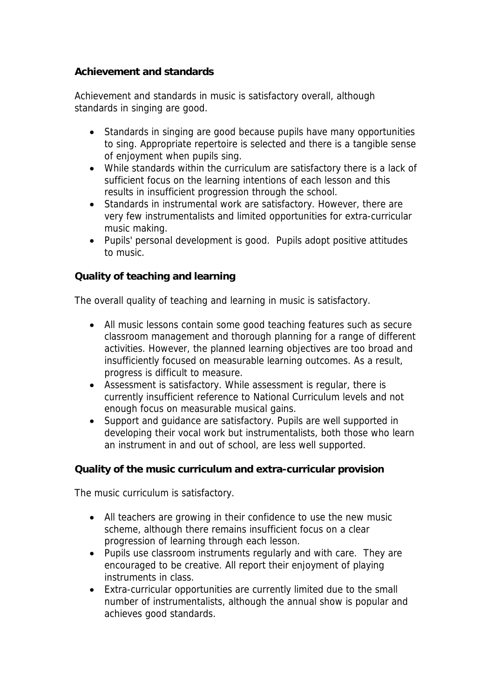**Achievement and standards**

Achievement and standards in music is satisfactory overall, although standards in singing are good.

- Standards in singing are good because pupils have many opportunities to sing. Appropriate repertoire is selected and there is a tangible sense of enjoyment when pupils sing.
- While standards within the curriculum are satisfactory there is a lack of sufficient focus on the learning intentions of each lesson and this results in insufficient progression through the school.
- Standards in instrumental work are satisfactory. However, there are very few instrumentalists and limited opportunities for extra-curricular music making.
- Pupils' personal development is good. Pupils adopt positive attitudes to music.

**Quality of teaching and learning** 

The overall quality of teaching and learning in music is satisfactory.

- All music lessons contain some good teaching features such as secure classroom management and thorough planning for a range of different activities. However, the planned learning objectives are too broad and insufficiently focused on measurable learning outcomes. As a result, progress is difficult to measure.
- Assessment is satisfactory. While assessment is regular, there is currently insufficient reference to National Curriculum levels and not enough focus on measurable musical gains.
- Support and quidance are satisfactory. Pupils are well supported in developing their vocal work but instrumentalists, both those who learn an instrument in and out of school, are less well supported.

**Quality of the music curriculum and extra-curricular provision**

The music curriculum is satisfactory.

- All teachers are growing in their confidence to use the new music scheme, although there remains insufficient focus on a clear progression of learning through each lesson.
- Pupils use classroom instruments regularly and with care. They are encouraged to be creative. All report their enjoyment of playing instruments in class.
- Extra-curricular opportunities are currently limited due to the small number of instrumentalists, although the annual show is popular and achieves good standards.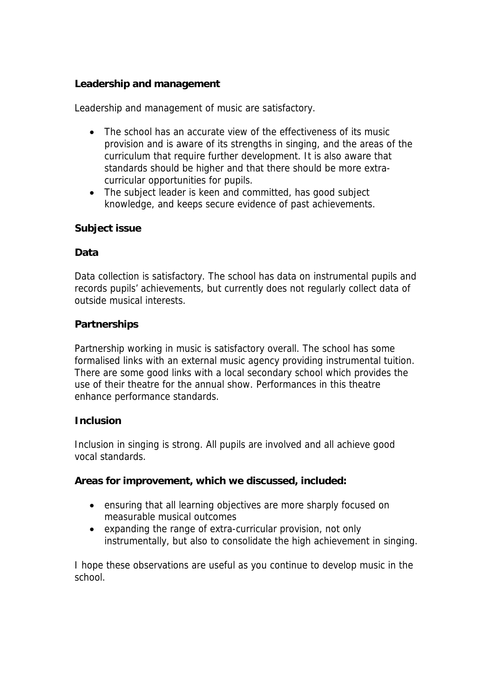# **Leadership and management**

Leadership and management of music are satisfactory.

- The school has an accurate view of the effectiveness of its music provision and is aware of its strengths in singing, and the areas of the curriculum that require further development. It is also aware that standards should be higher and that there should be more extracurricular opportunities for pupils.
- The subject leader is keen and committed, has good subject knowledge, and keeps secure evidence of past achievements.

### **Subject issue**

### **Data**

Data collection is satisfactory. The school has data on instrumental pupils and records pupils' achievements, but currently does not regularly collect data of outside musical interests.

## **Partnerships**

Partnership working in music is satisfactory overall. The school has some formalised links with an external music agency providing instrumental tuition. There are some good links with a local secondary school which provides the use of their theatre for the annual show. Performances in this theatre enhance performance standards.

### **Inclusion**

Inclusion in singing is strong. All pupils are involved and all achieve good vocal standards.

**Areas for improvement, which we discussed, included:**

- ensuring that all learning objectives are more sharply focused on measurable musical outcomes
- expanding the range of extra-curricular provision, not only instrumentally, but also to consolidate the high achievement in singing.

I hope these observations are useful as you continue to develop music in the school.